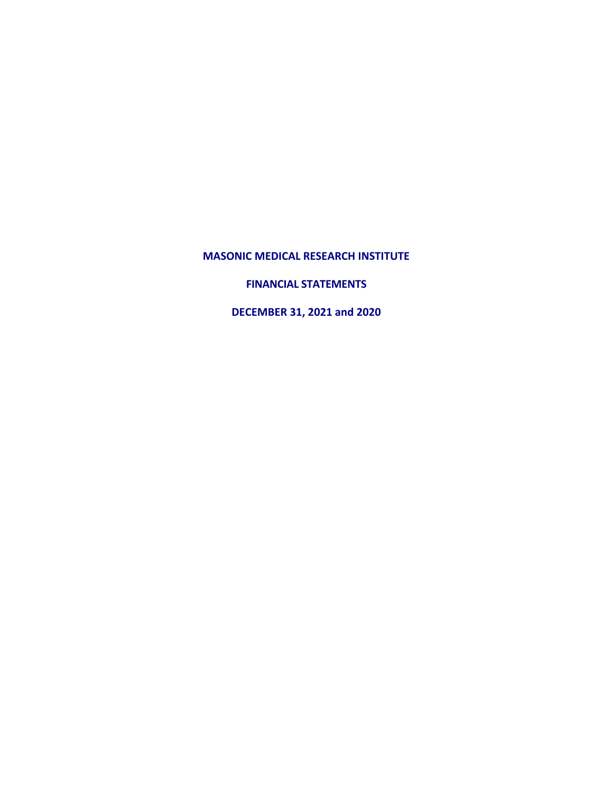# **FINANCIAL STATEMENTS**

**DECEMBER 31, 2021 and 2020**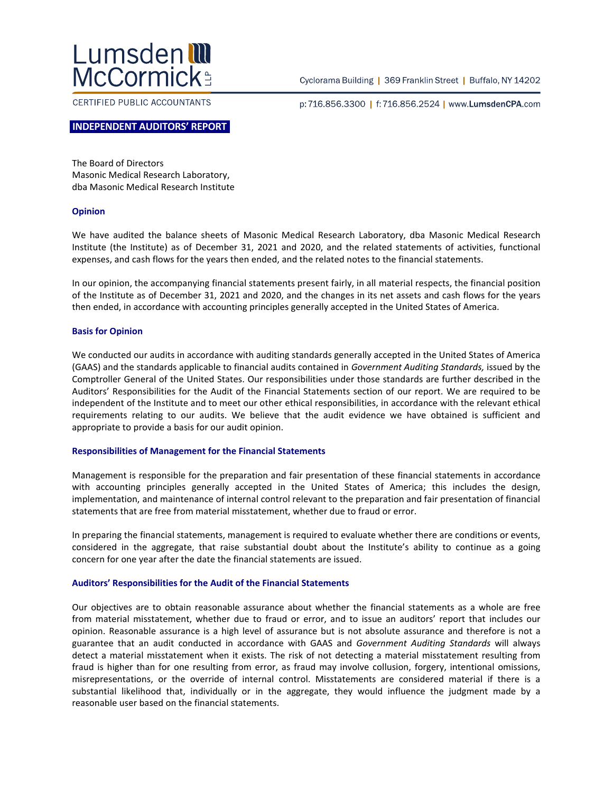# Lumsden **III**<br>McCormick

CERTIFIED PUBLIC ACCOUNTANTS

Cyclorama Building | 369 Franklin Street | Buffalo, NY 14202

p:716.856.3300 | f:716.856.2524 | www.LumsdenCPA.com

**INDEPENDENT AUDITORS' REPORT**

The Board of Directors Masonic Medical Research Laboratory, dba Masonic Medical Research Institute

#### **Opinion**

We have audited the balance sheets of Masonic Medical Research Laboratory, dba Masonic Medical Research Institute (the Institute) as of December 31, 2021 and 2020, and the related statements of activities, functional expenses, and cash flows for the years then ended, and the related notes to the financial statements.

In our opinion, the accompanying financial statements present fairly, in all material respects, the financial position of the Institute as of December 31, 2021 and 2020, and the changes in its net assets and cash flows for the years then ended, in accordance with accounting principles generally accepted in the United States of America.

#### **Basis for Opinion**

We conducted our audits in accordance with auditing standards generally accepted in the United States of America (GAAS) and the standards applicable to financial audits contained in *Government Auditing Standards,* issued by the Comptroller General of the United States. Our responsibilities under those standards are further described in the Auditors' Responsibilities for the Audit of the Financial Statements section of our report. We are required to be independent of the Institute and to meet our other ethical responsibilities, in accordance with the relevant ethical requirements relating to our audits. We believe that the audit evidence we have obtained is sufficient and appropriate to provide a basis for our audit opinion.

#### **Responsibilities of Management for the Financial Statements**

Management is responsible for the preparation and fair presentation of these financial statements in accordance with accounting principles generally accepted in the United States of America; this includes the design, implementation, and maintenance of internal control relevant to the preparation and fair presentation of financial statements that are free from material misstatement, whether due to fraud or error.

In preparing the financial statements, management is required to evaluate whether there are conditions or events, considered in the aggregate, that raise substantial doubt about the Institute's ability to continue as a going concern for one year after the date the financial statements are issued.

#### **Auditors' Responsibilities for the Audit of the Financial Statements**

Our objectives are to obtain reasonable assurance about whether the financial statements as a whole are free from material misstatement, whether due to fraud or error, and to issue an auditors' report that includes our opinion. Reasonable assurance is a high level of assurance but is not absolute assurance and therefore is not a guarantee that an audit conducted in accordance with GAAS and *Government Auditing Standards* will always detect a material misstatement when it exists. The risk of not detecting a material misstatement resulting from fraud is higher than for one resulting from error, as fraud may involve collusion, forgery, intentional omissions, misrepresentations, or the override of internal control. Misstatements are considered material if there is a substantial likelihood that, individually or in the aggregate, they would influence the judgment made by a reasonable user based on the financial statements.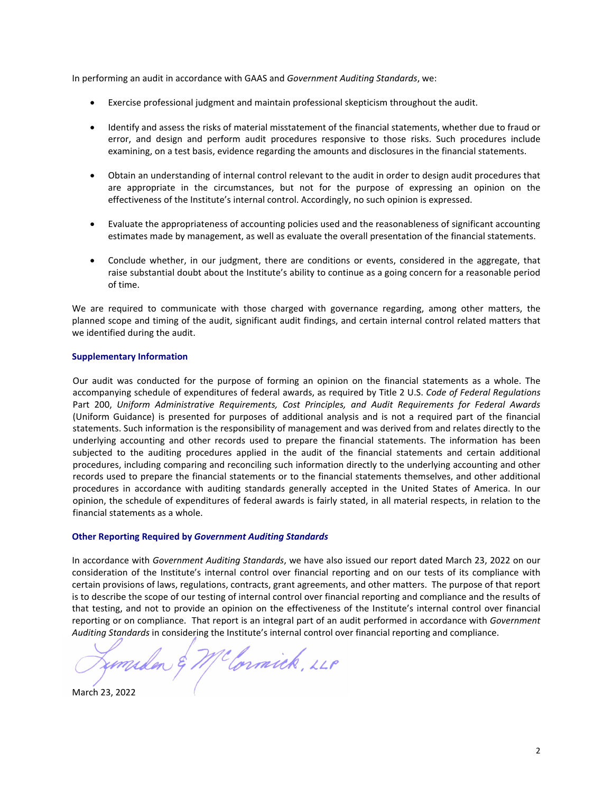In performing an audit in accordance with GAAS and *Government Auditing Standards*, we:

- Exercise professional judgment and maintain professional skepticism throughout the audit.
- Identify and assess the risks of material misstatement of the financial statements, whether due to fraud or error, and design and perform audit procedures responsive to those risks. Such procedures include examining, on a test basis, evidence regarding the amounts and disclosures in the financial statements.
- Obtain an understanding of internal control relevant to the audit in order to design audit procedures that are appropriate in the circumstances, but not for the purpose of expressing an opinion on the effectiveness of the Institute's internal control. Accordingly, no such opinion is expressed.
- Evaluate the appropriateness of accounting policies used and the reasonableness of significant accounting estimates made by management, as well as evaluate the overall presentation of the financial statements.
- Conclude whether, in our judgment, there are conditions or events, considered in the aggregate, that raise substantial doubt about the Institute's ability to continue as a going concern for a reasonable period of time.

We are required to communicate with those charged with governance regarding, among other matters, the planned scope and timing of the audit, significant audit findings, and certain internal control related matters that we identified during the audit.

#### **Supplementary Information**

Our audit was conducted for the purpose of forming an opinion on the financial statements as a whole. The accompanying schedule of expenditures of federal awards, as required by Title 2 U.S. *Code of Federal Regulations* Part 200, *Uniform Administrative Requirements, Cost Principles, and Audit Requirements for Federal Awards* (Uniform Guidance) is presented for purposes of additional analysis and is not a required part of the financial statements. Such information is the responsibility of management and was derived from and relates directly to the underlying accounting and other records used to prepare the financial statements. The information has been subjected to the auditing procedures applied in the audit of the financial statements and certain additional procedures, including comparing and reconciling such information directly to the underlying accounting and other records used to prepare the financial statements or to the financial statements themselves, and other additional procedures in accordance with auditing standards generally accepted in the United States of America. In our opinion, the schedule of expenditures of federal awards is fairly stated, in all material respects, in relation to the financial statements as a whole.

#### **Other Reporting Required by** *Government Auditing Standards*

In accordance with *Government Auditing Standards*, we have also issued our report dated March 23, 2022 on our consideration of the Institute's internal control over financial reporting and on our tests of its compliance with certain provisions of laws, regulations, contracts, grant agreements, and other matters. The purpose of that report is to describe the scope of our testing of internal control over financial reporting and compliance and the results of that testing, and not to provide an opinion on the effectiveness of the Institute's internal control over financial reporting or on compliance. That report is an integral part of an audit performed in accordance with *Government Auditing Standards* in considering the Institute's internal control over financial reporting and compliance.

fumilen & McCornick, 220

March 23, 2022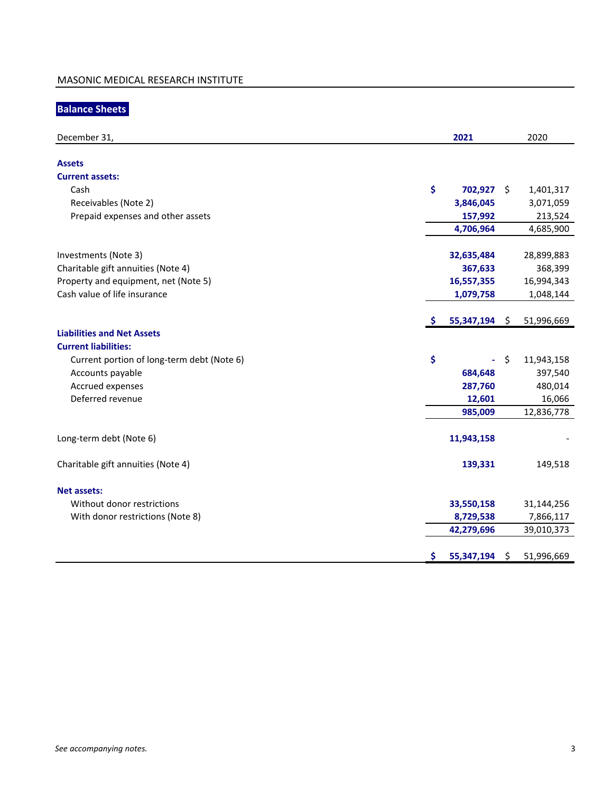# **Balance Sheets**

| December 31,                               | 2021                | 2020             |
|--------------------------------------------|---------------------|------------------|
|                                            |                     |                  |
| <b>Assets</b>                              |                     |                  |
| <b>Current assets:</b>                     |                     |                  |
| Cash                                       | \$<br>702,927       | \$<br>1,401,317  |
| Receivables (Note 2)                       | 3,846,045           | 3,071,059        |
| Prepaid expenses and other assets          | 157,992             | 213,524          |
|                                            | 4,706,964           | 4,685,900        |
| Investments (Note 3)                       | 32,635,484          | 28,899,883       |
| Charitable gift annuities (Note 4)         | 367,633             | 368,399          |
| Property and equipment, net (Note 5)       | 16,557,355          | 16,994,343       |
| Cash value of life insurance               | 1,079,758           | 1,048,144        |
|                                            | 55,347,194 \$<br>-S | 51,996,669       |
| <b>Liabilities and Net Assets</b>          |                     |                  |
| <b>Current liabilities:</b>                |                     |                  |
| Current portion of long-term debt (Note 6) | \$                  | \$<br>11,943,158 |
| Accounts payable                           | 684,648             | 397,540          |
| Accrued expenses                           | 287,760             | 480,014          |
| Deferred revenue                           | 12,601              | 16,066           |
|                                            | 985,009             | 12,836,778       |
| Long-term debt (Note 6)                    | 11,943,158          |                  |
| Charitable gift annuities (Note 4)         | 139,331             | 149,518          |
| <b>Net assets:</b>                         |                     |                  |
| Without donor restrictions                 | 33,550,158          | 31,144,256       |
| With donor restrictions (Note 8)           | 8,729,538           | 7,866,117        |
|                                            | 42,279,696          | 39,010,373       |
|                                            | \$<br>55, 347, 194  | \$<br>51,996,669 |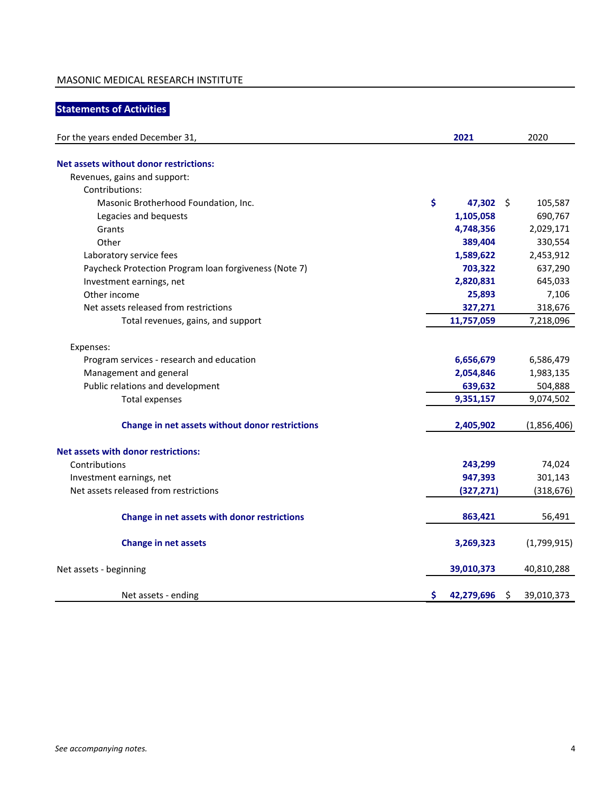# **Statements of Activities**

| For the years ended December 31,                      | 2021             |      | 2020        |
|-------------------------------------------------------|------------------|------|-------------|
|                                                       |                  |      |             |
| Net assets without donor restrictions:                |                  |      |             |
| Revenues, gains and support:                          |                  |      |             |
| Contributions:                                        |                  |      |             |
| Masonic Brotherhood Foundation, Inc.                  | \$<br>47,302 \$  |      | 105,587     |
| Legacies and bequests                                 | 1,105,058        |      | 690,767     |
| Grants                                                | 4,748,356        |      | 2,029,171   |
| Other                                                 | 389,404          |      | 330,554     |
| Laboratory service fees                               | 1,589,622        |      | 2,453,912   |
| Paycheck Protection Program Ioan forgiveness (Note 7) | 703,322          |      | 637,290     |
| Investment earnings, net                              | 2,820,831        |      | 645,033     |
| Other income                                          | 25,893           |      | 7,106       |
| Net assets released from restrictions                 | 327,271          |      | 318,676     |
| Total revenues, gains, and support                    | 11,757,059       |      | 7,218,096   |
| Expenses:                                             |                  |      |             |
| Program services - research and education             | 6,656,679        |      | 6,586,479   |
| Management and general                                | 2,054,846        |      | 1,983,135   |
| Public relations and development                      | 639,632          |      | 504,888     |
| <b>Total expenses</b>                                 | 9,351,157        |      | 9,074,502   |
| Change in net assets without donor restrictions       | 2,405,902        |      | (1,856,406) |
| <b>Net assets with donor restrictions:</b>            |                  |      |             |
| Contributions                                         | 243,299          |      | 74,024      |
| Investment earnings, net                              | 947,393          |      | 301,143     |
| Net assets released from restrictions                 | (327, 271)       |      | (318, 676)  |
| Change in net assets with donor restrictions          | 863,421          |      | 56,491      |
| <b>Change in net assets</b>                           | 3,269,323        |      | (1,799,915) |
| Net assets - beginning                                | 39,010,373       |      | 40,810,288  |
| Net assets - ending                                   | \$<br>42,279,696 | - \$ | 39,010,373  |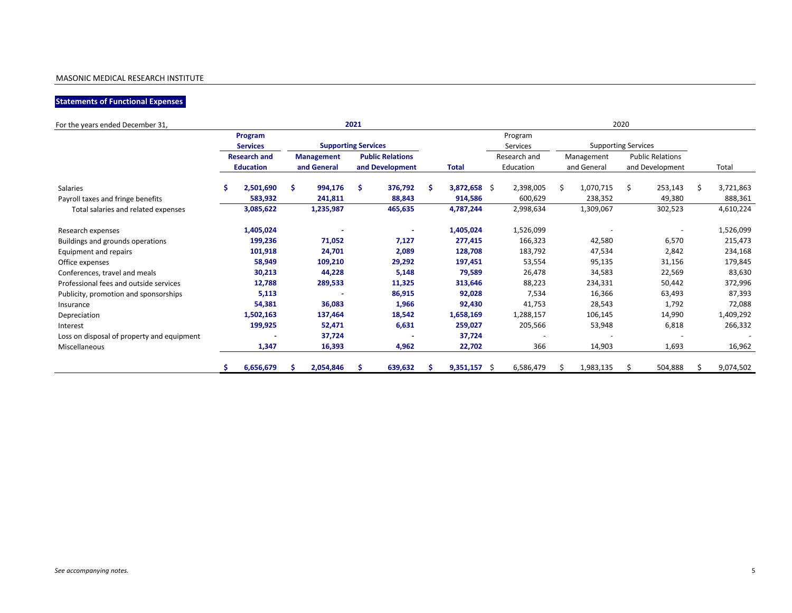#### **Statements of Functional Expenses**

| For the years ended December 31,           | 2021<br>2020 |                            |     |                            |    |                         |     |                |                     |    |                            |    |                         |    |           |
|--------------------------------------------|--------------|----------------------------|-----|----------------------------|----|-------------------------|-----|----------------|---------------------|----|----------------------------|----|-------------------------|----|-----------|
|                                            |              | Program<br><b>Services</b> |     | <b>Supporting Services</b> |    |                         |     |                | Program<br>Services |    | <b>Supporting Services</b> |    |                         |    |           |
|                                            |              | <b>Research and</b>        |     | <b>Management</b>          |    | <b>Public Relations</b> |     |                | Research and        |    | Management                 |    | <b>Public Relations</b> |    |           |
|                                            |              | <b>Education</b>           |     | and General                |    | and Development         |     | <b>Total</b>   | Education           |    | and General                |    | and Development         |    | Total     |
| <b>Salaries</b>                            |              | 2,501,690                  | \$. | 994,176                    | Ŝ. | 376,792                 | -S. | 3,872,658 \$   | 2,398,005           | S. | 1,070,715                  | Ŝ. | 253,143                 | Ŝ. | 3,721,863 |
| Payroll taxes and fringe benefits          |              | 583,932                    |     | 241,811                    |    | 88,843                  |     | 914,586        | 600,629             |    | 238,352                    |    | 49,380                  |    | 888,361   |
| Total salaries and related expenses        |              | 3,085,622                  |     | 1,235,987                  |    | 465,635                 |     | 4,787,244      | 2,998,634           |    | 1,309,067                  |    | 302,523                 |    | 4,610,224 |
| Research expenses                          |              | 1,405,024                  |     |                            |    |                         |     | 1,405,024      | 1,526,099           |    |                            |    |                         |    | 1,526,099 |
| Buildings and grounds operations           |              | 199,236                    |     | 71,052                     |    | 7,127                   |     | 277,415        | 166,323             |    | 42,580                     |    | 6,570                   |    | 215,473   |
| Equipment and repairs                      |              | 101,918                    |     | 24,701                     |    | 2,089                   |     | 128,708        | 183,792             |    | 47,534                     |    | 2,842                   |    | 234,168   |
| Office expenses                            |              | 58,949                     |     | 109,210                    |    | 29,292                  |     | 197,451        | 53,554              |    | 95,135                     |    | 31,156                  |    | 179,845   |
| Conferences, travel and meals              |              | 30,213                     |     | 44,228                     |    | 5,148                   |     | 79,589         | 26,478              |    | 34,583                     |    | 22,569                  |    | 83,630    |
| Professional fees and outside services     |              | 12,788                     |     | 289,533                    |    | 11,325                  |     | 313,646        | 88,223              |    | 234,331                    |    | 50,442                  |    | 372,996   |
| Publicity, promotion and sponsorships      |              | 5,113                      |     |                            |    | 86,915                  |     | 92,028         | 7,534               |    | 16,366                     |    | 63,493                  |    | 87,393    |
| Insurance                                  |              | 54,381                     |     | 36,083                     |    | 1,966                   |     | 92,430         | 41,753              |    | 28,543                     |    | 1,792                   |    | 72,088    |
| Depreciation                               |              | 1,502,163                  |     | 137,464                    |    | 18,542                  |     | 1,658,169      | 1,288,157           |    | 106,145                    |    | 14,990                  |    | 1,409,292 |
| Interest                                   |              | 199,925                    |     | 52,471                     |    | 6,631                   |     | 259,027        | 205,566             |    | 53,948                     |    | 6,818                   |    | 266,332   |
| Loss on disposal of property and equipment |              |                            |     | 37,724                     |    |                         |     | 37,724         |                     |    |                            |    |                         |    |           |
| Miscellaneous                              |              | 1,347                      |     | 16,393                     |    | 4,962                   |     | 22,702         | 366                 |    | 14,903                     |    | 1,693                   |    | 16,962    |
|                                            |              | 6,656,679                  |     | 2,054,846                  |    | 639,632                 |     | $9,351,157$ \$ | 6,586,479           |    | 1,983,135                  |    | 504,888                 |    | 9,074,502 |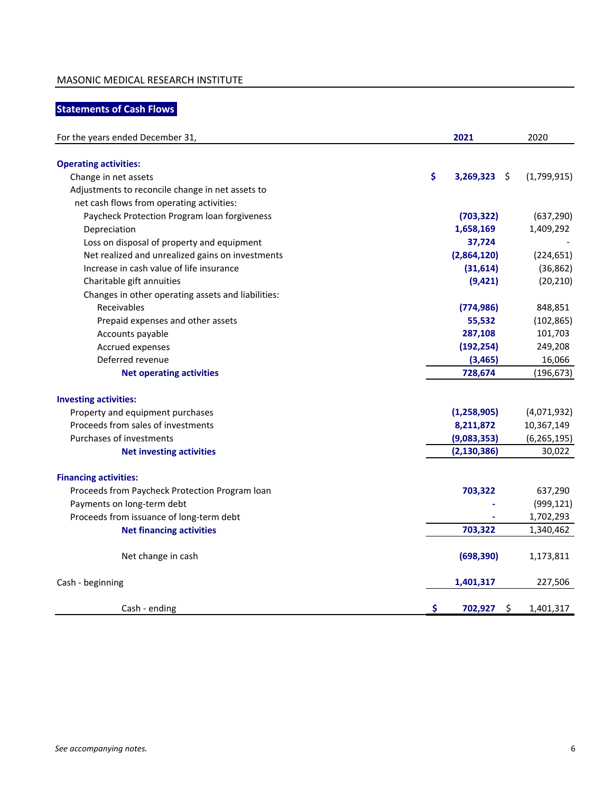# **Statements of Cash Flows**

| For the years ended December 31,                                                             | 2021                 | 2020            |
|----------------------------------------------------------------------------------------------|----------------------|-----------------|
| <b>Operating activities:</b>                                                                 |                      |                 |
| Change in net assets                                                                         | \$<br>$3,269,323$ \$ | (1,799,915)     |
| Adjustments to reconcile change in net assets to                                             |                      |                 |
| net cash flows from operating activities:                                                    |                      |                 |
| Paycheck Protection Program loan forgiveness                                                 | (703, 322)           | (637, 290)      |
| Depreciation                                                                                 | 1,658,169            | 1,409,292       |
|                                                                                              | 37,724               |                 |
| Loss on disposal of property and equipment                                                   |                      |                 |
| Net realized and unrealized gains on investments<br>Increase in cash value of life insurance | (2,864,120)          | (224, 651)      |
|                                                                                              | (31, 614)            | (36, 862)       |
| Charitable gift annuities                                                                    | (9,421)              | (20, 210)       |
| Changes in other operating assets and liabilities:                                           |                      |                 |
| Receivables                                                                                  | (774, 986)           | 848,851         |
| Prepaid expenses and other assets                                                            | 55,532               | (102, 865)      |
| Accounts payable                                                                             | 287,108              | 101,703         |
| Accrued expenses                                                                             | (192, 254)           | 249,208         |
| Deferred revenue                                                                             | (3, 465)             | 16,066          |
| <b>Net operating activities</b>                                                              | 728,674              | (196, 673)      |
| <b>Investing activities:</b>                                                                 |                      |                 |
| Property and equipment purchases                                                             | (1, 258, 905)        | (4,071,932)     |
| Proceeds from sales of investments                                                           | 8,211,872            | 10,367,149      |
| Purchases of investments                                                                     | (9,083,353)          | (6, 265, 195)   |
| <b>Net investing activities</b>                                                              | (2, 130, 386)        | 30,022          |
| <b>Financing activities:</b>                                                                 |                      |                 |
| Proceeds from Paycheck Protection Program loan                                               | 703,322              | 637,290         |
| Payments on long-term debt                                                                   |                      | (999, 121)      |
| Proceeds from issuance of long-term debt                                                     |                      | 1,702,293       |
| <b>Net financing activities</b>                                                              | 703,322              | 1,340,462       |
| Net change in cash                                                                           | (698, 390)           | 1,173,811       |
| Cash - beginning                                                                             | 1,401,317            | 227,506         |
| Cash - ending                                                                                | \$<br>702,927        | \$<br>1,401,317 |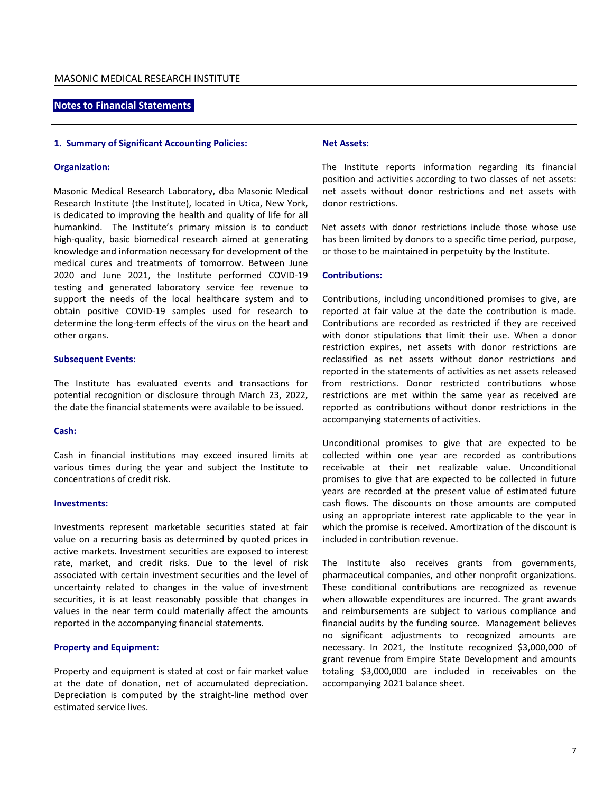#### **Notes to Financial Statements**

#### **1. Summary of Significant Accounting Policies:**

#### **Organization:**

Masonic Medical Research Laboratory, dba Masonic Medical Research Institute (the Institute), located in Utica, New York, is dedicated to improving the health and quality of life for all humankind. The Institute's primary mission is to conduct high-quality, basic biomedical research aimed at generating knowledge and information necessary for development of the medical cures and treatments of tomorrow. Between June 2020 and June 2021, the Institute performed COVID-19 testing and generated laboratory service fee revenue to support the needs of the local healthcare system and to obtain positive COVID-19 samples used for research to determine the long-term effects of the virus on the heart and other organs.

#### **Subsequent Events:**

The Institute has evaluated events and transactions for potential recognition or disclosure through March 23, 2022, the date the financial statements were available to be issued.

#### **Cash:**

Cash in financial institutions may exceed insured limits at various times during the year and subject the Institute to concentrations of credit risk.

#### **Investments:**

Investments represent marketable securities stated at fair value on a recurring basis as determined by quoted prices in active markets. Investment securities are exposed to interest rate, market, and credit risks. Due to the level of risk associated with certain investment securities and the level of uncertainty related to changes in the value of investment securities, it is at least reasonably possible that changes in values in the near term could materially affect the amounts reported in the accompanying financial statements.

#### **Property and Equipment:**

Property and equipment is stated at cost or fair market value at the date of donation, net of accumulated depreciation. Depreciation is computed by the straight-line method over estimated service lives.

#### **Net Assets:**

The Institute reports information regarding its financial position and activities according to two classes of net assets: net assets without donor restrictions and net assets with donor restrictions.

Net assets with donor restrictions include those whose use has been limited by donors to a specific time period, purpose, or those to be maintained in perpetuity by the Institute.

#### **Contributions:**

Contributions, including unconditioned promises to give, are reported at fair value at the date the contribution is made. Contributions are recorded as restricted if they are received with donor stipulations that limit their use. When a donor restriction expires, net assets with donor restrictions are reclassified as net assets without donor restrictions and reported in the statements of activities as net assets released from restrictions. Donor restricted contributions whose restrictions are met within the same year as received are reported as contributions without donor restrictions in the accompanying statements of activities.

Unconditional promises to give that are expected to be collected within one year are recorded as contributions receivable at their net realizable value. Unconditional promises to give that are expected to be collected in future years are recorded at the present value of estimated future cash flows. The discounts on those amounts are computed using an appropriate interest rate applicable to the year in which the promise is received. Amortization of the discount is included in contribution revenue.

The Institute also receives grants from governments, pharmaceutical companies, and other nonprofit organizations. These conditional contributions are recognized as revenue when allowable expenditures are incurred. The grant awards and reimbursements are subject to various compliance and financial audits by the funding source. Management believes no significant adjustments to recognized amounts are necessary. In 2021, the Institute recognized \$3,000,000 of grant revenue from Empire State Development and amounts totaling \$3,000,000 are included in receivables on the accompanying 2021 balance sheet.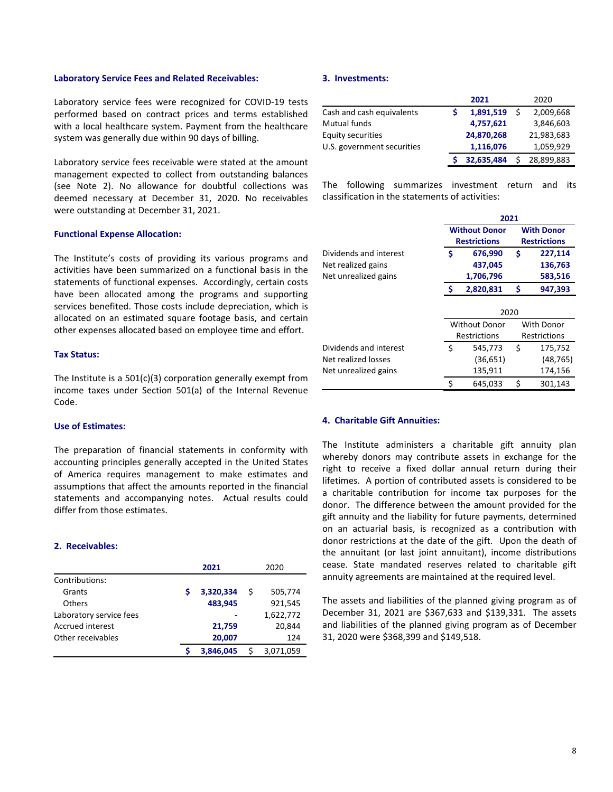#### **Laboratory Service Fees and Related Receivables:**

Laboratory service fees were recognized for COVID-19 tests performed based on contract prices and terms established with a local healthcare system. Payment from the healthcare system was generally due within 90 days of billing.

Laboratory service fees receivable were stated at the amount management expected to collect from outstanding balances (see Note 2). No allowance for doubtful collections was deemed necessary at December 31, 2020. No receivables were outstanding at December 31, 2021.

#### **Functional Expense Allocation:**

The Institute's costs of providing its various programs and activities have been summarized on a functional basis in the statements of functional expenses. Accordingly, certain costs have been allocated among the programs and supporting services benefited. Those costs include depreciation, which is allocated on an estimated square footage basis, and certain other expenses allocated based on employee time and effort.

#### **Tax Status:**

The Institute is a 501(c)(3) corporation generally exempt from income taxes under Section 501(a) of the Internal Revenue Code.

#### **Use of Estimates:**

The preparation of financial statements in conformity with accounting principles generally accepted in the United States of America requires management to make estimates and assumptions that affect the amounts reported in the financial statements and accompanying notes. Actual results could differ from those estimates.

#### **2. Receivables:**

|                         |   | 2021      | 2020 |           |  |
|-------------------------|---|-----------|------|-----------|--|
| Contributions:          |   |           |      |           |  |
| Grants                  | Ś | 3,320,334 | S    | 505,774   |  |
| Others                  |   | 483,945   |      | 921,545   |  |
| Laboratory service fees |   |           |      | 1,622,772 |  |
| Accrued interest        |   | 21,759    |      | 20,844    |  |
| Other receivables       |   | 20,007    |      | 124       |  |
|                         |   | 3.846.045 |      | 3,071,059 |  |

#### **3. Investments:**

|                            | 2021       | 2020       |
|----------------------------|------------|------------|
| Cash and cash equivalents  | 1,891,519  | 2,009,668  |
| <b>Mutual funds</b>        | 4,757,621  | 3,846,603  |
| Equity securities          | 24,870,268 | 21,983,683 |
| U.S. government securities | 1,116,076  | 1,059,929  |
|                            | 32,635,484 | 28,899,883 |

The following summarizes investment return and its classification in the statements of activities:

|                        | 2021                                        |                      |            |                                          |  |  |  |
|------------------------|---------------------------------------------|----------------------|------------|------------------------------------------|--|--|--|
|                        | <b>Without Donor</b><br><b>Restrictions</b> |                      |            | <b>With Donor</b><br><b>Restrictions</b> |  |  |  |
| Dividends and interest | Ś                                           | 676,990              | Ś          | 227,114                                  |  |  |  |
| Net realized gains     |                                             | 437,045              |            | 136,763                                  |  |  |  |
| Net unrealized gains   |                                             | 1,706,796            |            | 583,516                                  |  |  |  |
|                        | \$                                          | 2,820,831            | \$         | 947,393                                  |  |  |  |
|                        |                                             | 2020                 |            |                                          |  |  |  |
|                        |                                             | <b>Without Donor</b> | With Donor |                                          |  |  |  |
|                        | <b>Restrictions</b>                         |                      |            | <b>Restrictions</b>                      |  |  |  |
| Dividends and interest | Ś                                           | 545,773              | Ś          | 175,752                                  |  |  |  |
| Net realized losses    |                                             | (36, 651)            |            | (48, 765)                                |  |  |  |
| Net unrealized gains   |                                             | 135,911              |            | 174,156                                  |  |  |  |
|                        | \$                                          | 645,033              | \$         | 301,143                                  |  |  |  |

#### **4. Charitable Gift Annuities:**

The Institute administers a charitable gift annuity plan whereby donors may contribute assets in exchange for the right to receive a fixed dollar annual return during their lifetimes. A portion of contributed assets is considered to be a charitable contribution for income tax purposes for the donor. The difference between the amount provided for the gift annuity and the liability for future payments, determined on an actuarial basis, is recognized as a contribution with donor restrictions at the date of the gift. Upon the death of the annuitant (or last joint annuitant), income distributions cease. State mandated reserves related to charitable gift annuity agreements are maintained at the required level.

The assets and liabilities of the planned giving program as of December 31, 2021 are \$367,633 and \$139,331. The assets and liabilities of the planned giving program as of December 31, 2020 were \$368,399 and \$149,518.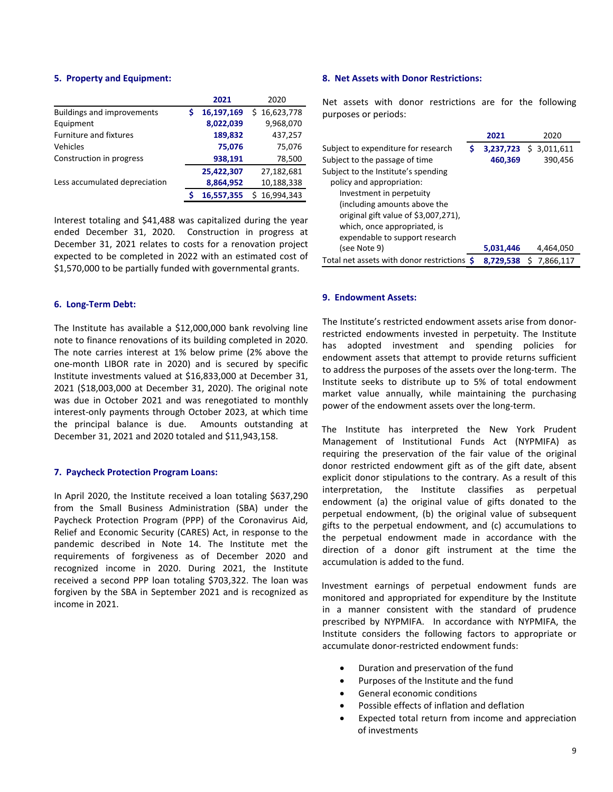#### **5. Property and Equipment:**

|                                   | 2021       | 2020         |
|-----------------------------------|------------|--------------|
| <b>Buildings and improvements</b> | 16,197,169 | \$16,623,778 |
| Equipment                         | 8,022,039  | 9,968,070    |
| <b>Furniture and fixtures</b>     | 189,832    | 437,257      |
| Vehicles                          | 75,076     | 75,076       |
| Construction in progress          | 938,191    | 78,500       |
|                                   | 25,422,307 | 27,182,681   |
| Less accumulated depreciation     | 8,864,952  | 10,188,338   |
|                                   | 16,557,355 | \$16.994.343 |

Interest totaling and \$41,488 was capitalized during the year ended December 31, 2020. Construction in progress at December 31, 2021 relates to costs for a renovation project expected to be completed in 2022 with an estimated cost of \$1,570,000 to be partially funded with governmental grants.

#### **6. Long-Term Debt:**

The Institute has available a \$12,000,000 bank revolving line note to finance renovations of its building completed in 2020. The note carries interest at 1% below prime (2% above the one-month LIBOR rate in 2020) and is secured by specific Institute investments valued at \$16,833,000 at December 31, 2021 (\$18,003,000 at December 31, 2020). The original note was due in October 2021 and was renegotiated to monthly interest-only payments through October 2023, at which time the principal balance is due. Amounts outstanding at December 31, 2021 and 2020 totaled and \$11,943,158.

#### **7. Paycheck Protection Program Loans:**

In April 2020, the Institute received a loan totaling \$637,290 from the Small Business Administration (SBA) under the Paycheck Protection Program (PPP) of the Coronavirus Aid, Relief and Economic Security (CARES) Act, in response to the pandemic described in Note 14. The Institute met the requirements of forgiveness as of December 2020 and recognized income in 2020. During 2021, the Institute received a second PPP loan totaling \$703,322. The loan was forgiven by the SBA in September 2021 and is recognized as income in 2021.

#### **8. Net Assets with Donor Restrictions:**

Net assets with donor restrictions are for the following purposes or periods:

|                                             | 2021      | 2020                          |
|---------------------------------------------|-----------|-------------------------------|
| Subject to expenditure for research         |           | <b>3,237,723</b> \$ 3,011,611 |
| Subject to the passage of time              | 460,369   | 390,456                       |
| Subject to the Institute's spending         |           |                               |
| policy and appropriation:                   |           |                               |
| Investment in perpetuity                    |           |                               |
| (including amounts above the                |           |                               |
| original gift value of \$3,007,271),        |           |                               |
| which, once appropriated, is                |           |                               |
| expendable to support research              |           |                               |
| (see Note 9)                                | 5,031,446 | 4,464,050                     |
| Total net assets with donor restrictions \$ | 8,729,538 | 7,866,117                     |

#### **9. Endowment Assets:**

The Institute's restricted endowment assets arise from donorrestricted endowments invested in perpetuity. The Institute has adopted investment and spending policies for endowment assets that attempt to provide returns sufficient to address the purposes of the assets over the long-term. The Institute seeks to distribute up to 5% of total endowment market value annually, while maintaining the purchasing power of the endowment assets over the long-term.

The Institute has interpreted the New York Prudent Management of Institutional Funds Act (NYPMIFA) as requiring the preservation of the fair value of the original donor restricted endowment gift as of the gift date, absent explicit donor stipulations to the contrary. As a result of this interpretation, the Institute classifies as perpetual endowment (a) the original value of gifts donated to the perpetual endowment, (b) the original value of subsequent gifts to the perpetual endowment, and (c) accumulations to the perpetual endowment made in accordance with the direction of a donor gift instrument at the time the accumulation is added to the fund.

Investment earnings of perpetual endowment funds are monitored and appropriated for expenditure by the Institute in a manner consistent with the standard of prudence prescribed by NYPMIFA. In accordance with NYPMIFA, the Institute considers the following factors to appropriate or accumulate donor-restricted endowment funds:

- Duration and preservation of the fund
- Purposes of the Institute and the fund
- General economic conditions
- Possible effects of inflation and deflation
- Expected total return from income and appreciation of investments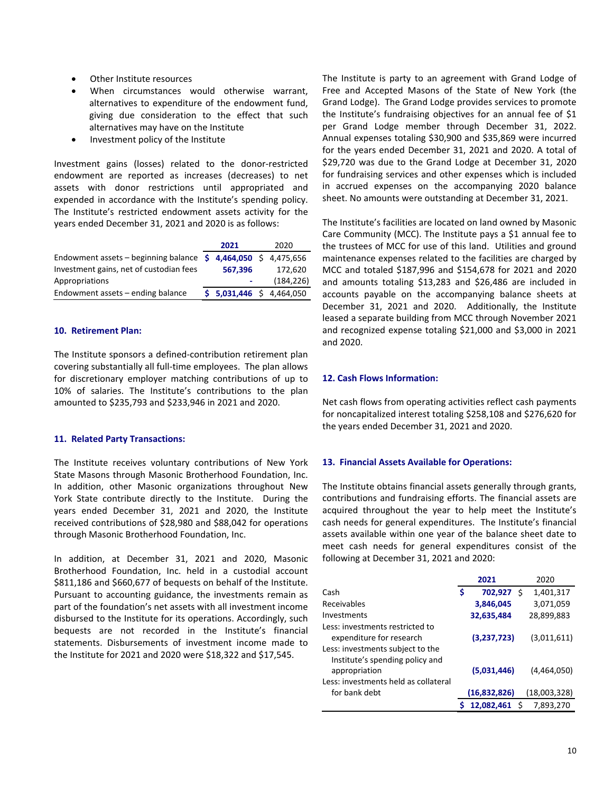- Other Institute resources
- When circumstances would otherwise warrant, alternatives to expenditure of the endowment fund, giving due consideration to the effect that such alternatives may have on the Institute
- Investment policy of the Institute

Investment gains (losses) related to the donor-restricted endowment are reported as increases (decreases) to net assets with donor restrictions until appropriated and expended in accordance with the Institute's spending policy. The Institute's restricted endowment assets activity for the years ended December 31, 2021 and 2020 is as follows:

|                                         | 2021                                 | 2020       |
|-----------------------------------------|--------------------------------------|------------|
| Endowment assets - beginning balance    | $\frac{1}{2}$ 4.464.050 \$ 4.475.656 |            |
| Investment gains, net of custodian fees | 567.396                              | 172.620    |
| Appropriations                          |                                      | (184, 226) |
| Endowment assets – ending balance       | $$5,031,446 \$4,464,050$             |            |

#### **10. Retirement Plan:**

The Institute sponsors a defined-contribution retirement plan covering substantially all full-time employees. The plan allows for discretionary employer matching contributions of up to 10% of salaries. The Institute's contributions to the plan amounted to \$235,793 and \$233,946 in 2021 and 2020.

#### **11. Related Party Transactions:**

The Institute receives voluntary contributions of New York State Masons through Masonic Brotherhood Foundation, Inc. In addition, other Masonic organizations throughout New York State contribute directly to the Institute. During the years ended December 31, 2021 and 2020, the Institute received contributions of \$28,980 and \$88,042 for operations through Masonic Brotherhood Foundation, Inc.

In addition, at December 31, 2021 and 2020, Masonic Brotherhood Foundation, Inc. held in a custodial account \$811,186 and \$660,677 of bequests on behalf of the Institute. Pursuant to accounting guidance, the investments remain as part of the foundation's net assets with all investment income disbursed to the Institute for its operations. Accordingly, such bequests are not recorded in the Institute's financial statements. Disbursements of investment income made to the Institute for 2021 and 2020 were \$18,322 and \$17,545.

The Institute is party to an agreement with Grand Lodge of Free and Accepted Masons of the State of New York (the Grand Lodge). The Grand Lodge provides services to promote the Institute's fundraising objectives for an annual fee of \$1 per Grand Lodge member through December 31, 2022. Annual expenses totaling \$30,900 and \$35,869 were incurred for the years ended December 31, 2021 and 2020. A total of \$29,720 was due to the Grand Lodge at December 31, 2020 for fundraising services and other expenses which is included in accrued expenses on the accompanying 2020 balance sheet. No amounts were outstanding at December 31, 2021.

The Institute's facilities are located on land owned by Masonic Care Community (MCC). The Institute pays a \$1 annual fee to the trustees of MCC for use of this land. Utilities and ground maintenance expenses related to the facilities are charged by MCC and totaled \$187,996 and \$154,678 for 2021 and 2020 and amounts totaling \$13,283 and \$26,486 are included in accounts payable on the accompanying balance sheets at December 31, 2021 and 2020. Additionally, the Institute leased a separate building from MCC through November 2021 and recognized expense totaling \$21,000 and \$3,000 in 2021 and 2020.

#### **12. Cash Flows Information:**

Net cash flows from operating activities reflect cash payments for noncapitalized interest totaling \$258,108 and \$276,620 for the years ended December 31, 2021 and 2020.

#### **13. Financial Assets Available for Operations:**

The Institute obtains financial assets generally through grants, contributions and fundraising efforts. The financial assets are acquired throughout the year to help meet the Institute's cash needs for general expenditures. The Institute's financial assets available within one year of the balance sheet date to meet cash needs for general expenditures consist of the following at December 31, 2021 and 2020:

|                                                                                                 | 2021          |    | 2020         |
|-------------------------------------------------------------------------------------------------|---------------|----|--------------|
| Cash                                                                                            | \$<br>702,927 | Ŝ  | 1,401,317    |
| Receivables                                                                                     | 3,846,045     |    | 3,071,059    |
| Investments                                                                                     | 32,635,484    |    | 28,899,883   |
| Less: investments restricted to<br>expenditure for research<br>Less: investments subject to the | (3,237,723)   |    | (3,011,611)  |
| Institute's spending policy and<br>appropriation<br>Less: investments held as collateral        | (5,031,446)   |    | (4,464,050)  |
| for bank debt                                                                                   | (16,832,826)  |    | (18,003,328) |
|                                                                                                 | 12,082,461    | -S | 7,893,270    |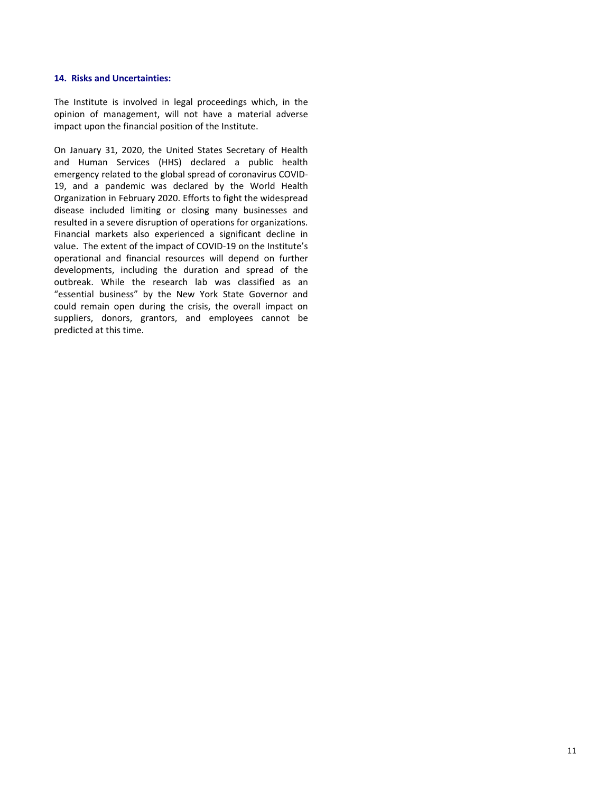#### **14. Risks and Uncertainties:**

The Institute is involved in legal proceedings which, in the opinion of management, will not have a material adverse impact upon the financial position of the Institute.

On January 31, 2020, the United States Secretary of Health and Human Services (HHS) declared a public health emergency related to the global spread of coronavirus COVID-19, and a pandemic was declared by the World Health Organization in February 2020. Efforts to fight the widespread disease included limiting or closing many businesses and resulted in a severe disruption of operations for organizations. Financial markets also experienced a significant decline in value. The extent of the impact of COVID-19 on the Institute's operational and financial resources will depend on further developments, including the duration and spread of the outbreak. While the research lab was classified as an "essential business" by the New York State Governor and could remain open during the crisis, the overall impact on suppliers, donors, grantors, and employees cannot be predicted at this time.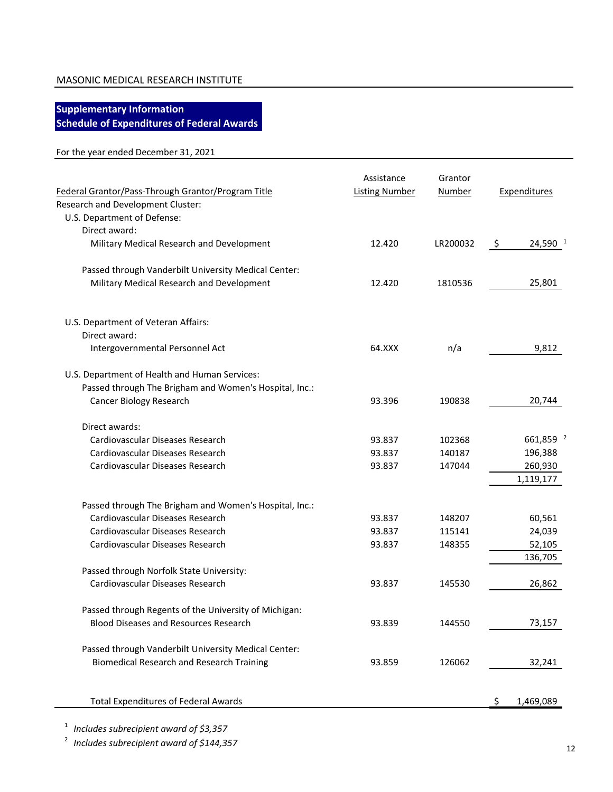# **Supplementary Information**

**Schedule of Expenditures of Federal Awards**

For the year ended December 31, 2021

| Federal Grantor/Pass-Through Grantor/Program Title<br>Research and Development Cluster:<br>U.S. Department of Defense: | Assistance<br><b>Listing Number</b> | Grantor<br>Number | <b>Expenditures</b>  |
|------------------------------------------------------------------------------------------------------------------------|-------------------------------------|-------------------|----------------------|
| Direct award:                                                                                                          |                                     |                   |                      |
| Military Medical Research and Development                                                                              | 12.420                              | LR200032          | -\$<br>$24,590-1$    |
| Passed through Vanderbilt University Medical Center:                                                                   |                                     |                   |                      |
| Military Medical Research and Development                                                                              | 12.420                              | 1810536           | 25,801               |
| U.S. Department of Veteran Affairs:                                                                                    |                                     |                   |                      |
| Direct award:                                                                                                          |                                     |                   |                      |
| Intergovernmental Personnel Act                                                                                        | 64.XXX                              | n/a               | 9,812                |
| U.S. Department of Health and Human Services:                                                                          |                                     |                   |                      |
| Passed through The Brigham and Women's Hospital, Inc.:                                                                 |                                     |                   |                      |
| Cancer Biology Research                                                                                                | 93.396                              | 190838            | 20,744               |
| Direct awards:                                                                                                         |                                     |                   |                      |
| Cardiovascular Diseases Research                                                                                       | 93.837                              | 102368            | 661,859 <sup>2</sup> |
| Cardiovascular Diseases Research                                                                                       | 93.837                              | 140187            | 196,388              |
| Cardiovascular Diseases Research                                                                                       | 93.837                              | 147044            | 260,930              |
|                                                                                                                        |                                     |                   | 1,119,177            |
| Passed through The Brigham and Women's Hospital, Inc.:                                                                 |                                     |                   |                      |
| Cardiovascular Diseases Research                                                                                       | 93.837                              | 148207            | 60,561               |
| Cardiovascular Diseases Research                                                                                       | 93.837                              | 115141            | 24,039               |
| Cardiovascular Diseases Research                                                                                       | 93.837                              | 148355            | 52,105               |
|                                                                                                                        |                                     |                   | 136,705              |
| Passed through Norfolk State University:                                                                               |                                     |                   |                      |
| Cardiovascular Diseases Research                                                                                       | 93.837                              | 145530            | 26,862               |
| Passed through Regents of the University of Michigan:                                                                  |                                     |                   |                      |
| <b>Blood Diseases and Resources Research</b>                                                                           | 93.839                              | 144550            | 73,157               |
| Passed through Vanderbilt University Medical Center:                                                                   |                                     |                   |                      |
| <b>Biomedical Research and Research Training</b>                                                                       | 93.859                              | 126062            | 32,241               |
| <b>Total Expenditures of Federal Awards</b>                                                                            |                                     |                   | 1,469,089<br>Ş       |
|                                                                                                                        |                                     |                   |                      |

1 *Includes subrecipient award of \$3,357*

 $^2$  Includes subrecipient award of \$144,357  $\hskip 3cm 12$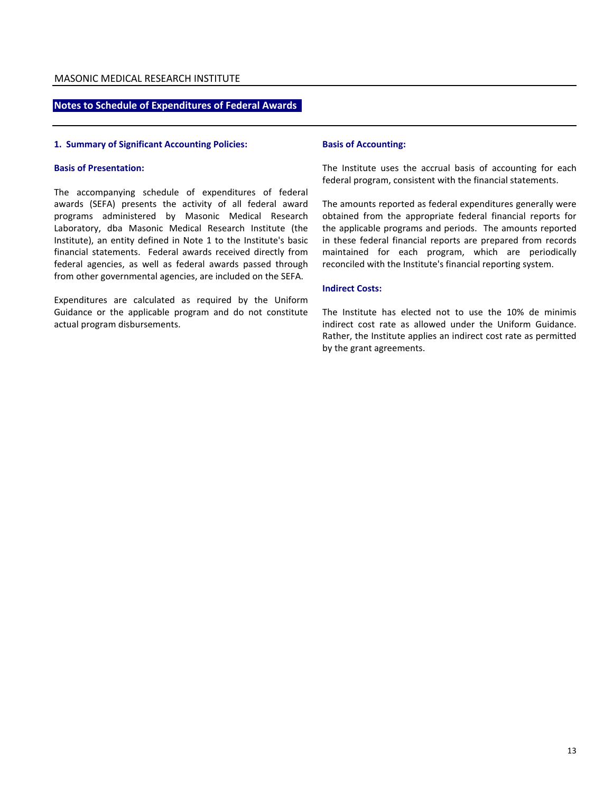#### **Notes to Schedule of Expenditures of Federal Awards**

#### **1. Summary of Significant Accounting Policies:**

#### **Basis of Presentation:**

The accompanying schedule of expenditures of federal awards (SEFA) presents the activity of all federal award programs administered by Masonic Medical Research Laboratory, dba Masonic Medical Research Institute (the Institute), an entity defined in Note 1 to the Institute's basic financial statements. Federal awards received directly from federal agencies, as well as federal awards passed through from other governmental agencies, are included on the SEFA.

Expenditures are calculated as required by the Uniform Guidance or the applicable program and do not constitute actual program disbursements.

#### **Basis of Accounting:**

The Institute uses the accrual basis of accounting for each federal program, consistent with the financial statements.

The amounts reported as federal expenditures generally were obtained from the appropriate federal financial reports for the applicable programs and periods. The amounts reported in these federal financial reports are prepared from records maintained for each program, which are periodically reconciled with the Institute's financial reporting system.

#### **Indirect Costs:**

The Institute has elected not to use the 10% de minimis indirect cost rate as allowed under the Uniform Guidance. Rather, the Institute applies an indirect cost rate as permitted by the grant agreements.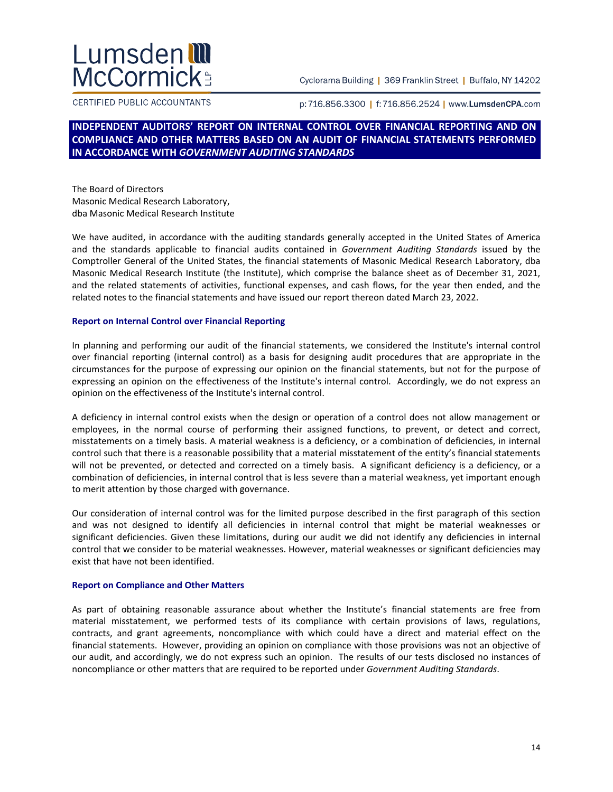# Lumsden **III**<br>McCormick

Cyclorama Building | 369 Franklin Street | Buffalo, NY 14202

CERTIFIED PUBLIC ACCOUNTANTS

p:716.856.3300 | f:716.856.2524 | www.LumsdenCPA.com

# **INDEPENDENT AUDITORS' REPORT ON INTERNAL CONTROL OVER FINANCIAL REPORTING AND ON COMPLIANCE AND OTHER MATTERS BASED ON AN AUDIT OF FINANCIAL STATEMENTS PERFORMED IN ACCORDANCE WITH** *GOVERNMENT AUDITING STANDARDS*

The Board of Directors Masonic Medical Research Laboratory, dba Masonic Medical Research Institute

We have audited, in accordance with the auditing standards generally accepted in the United States of America and the standards applicable to financial audits contained in *Government Auditing Standards* issued by the Comptroller General of the United States, the financial statements of Masonic Medical Research Laboratory, dba Masonic Medical Research Institute (the Institute), which comprise the balance sheet as of December 31, 2021, and the related statements of activities, functional expenses, and cash flows, for the year then ended, and the related notes to the financial statements and have issued our report thereon dated March 23, 2022.

#### **Report on Internal Control over Financial Reporting**

In planning and performing our audit of the financial statements, we considered the Institute's internal control over financial reporting (internal control) as a basis for designing audit procedures that are appropriate in the circumstances for the purpose of expressing our opinion on the financial statements, but not for the purpose of expressing an opinion on the effectiveness of the Institute's internal control. Accordingly, we do not express an opinion on the effectiveness of the Institute's internal control.

A deficiency in internal control exists when the design or operation of a control does not allow management or employees, in the normal course of performing their assigned functions, to prevent, or detect and correct, misstatements on a timely basis. A material weakness is a deficiency, or a combination of deficiencies, in internal control such that there is a reasonable possibility that a material misstatement of the entity's financial statements will not be prevented, or detected and corrected on a timely basis. A significant deficiency is a deficiency, or a combination of deficiencies, in internal control that is less severe than a material weakness, yet important enough to merit attention by those charged with governance.

Our consideration of internal control was for the limited purpose described in the first paragraph of this section and was not designed to identify all deficiencies in internal control that might be material weaknesses or significant deficiencies. Given these limitations, during our audit we did not identify any deficiencies in internal control that we consider to be material weaknesses. However, material weaknesses or significant deficiencies may exist that have not been identified.

#### **Report on Compliance and Other Matters**

As part of obtaining reasonable assurance about whether the Institute's financial statements are free from material misstatement, we performed tests of its compliance with certain provisions of laws, regulations, contracts, and grant agreements, noncompliance with which could have a direct and material effect on the financial statements. However, providing an opinion on compliance with those provisions was not an objective of our audit, and accordingly, we do not express such an opinion. The results of our tests disclosed no instances of noncompliance or other matters that are required to be reported under *Government Auditing Standards*.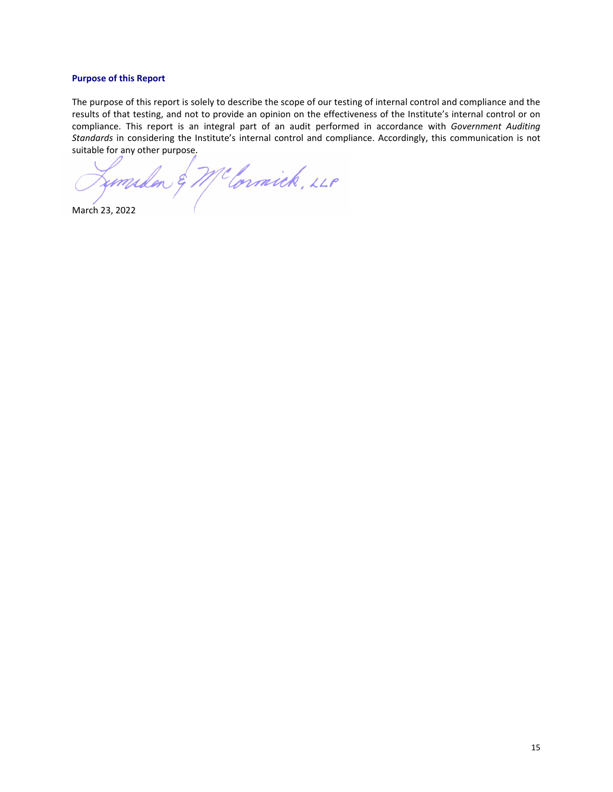#### **Purpose of this Report**

The purpose of this report is solely to describe the scope of our testing of internal control and compliance and the results of that testing, and not to provide an opinion on the effectiveness of the Institute's internal control or on compliance. This report is an integral part of an audit performed in accordance with *Government Auditing Standards* in considering the Institute's internal control and compliance. Accordingly, this communication is not suitable for any other purpose.

fimilen & McCornick, 220

March 23, 2022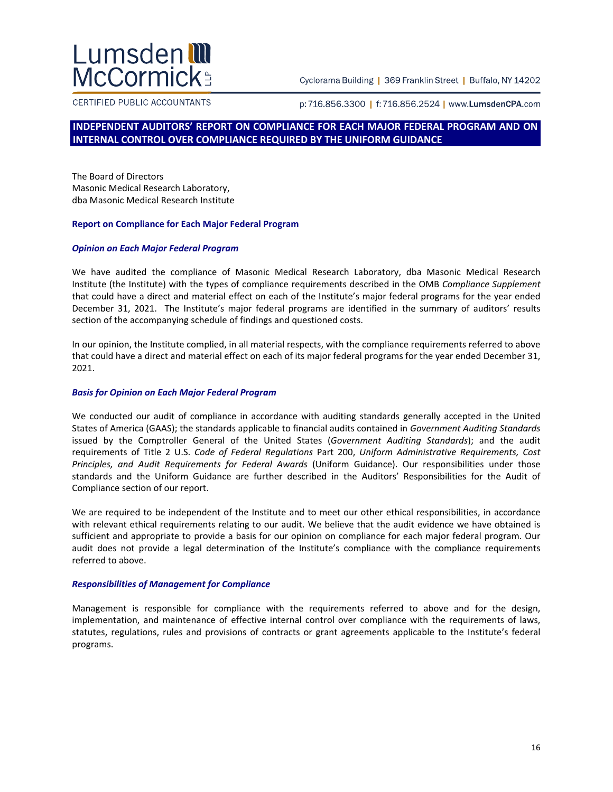# Lumsden **III**<br>McCormick

Cyclorama Building | 369 Franklin Street | Buffalo, NY 14202

CERTIFIED PUBLIC ACCOUNTANTS

p:716.856.3300 | f:716.856.2524 | www.LumsdenCPA.com

# **INDEPENDENT AUDITORS' REPORT ON COMPLIANCE FOR EACH MAJOR FEDERAL PROGRAM AND ON INTERNAL CONTROL OVER COMPLIANCE REQUIRED BY THE UNIFORM GUIDANCE**

The Board of Directors Masonic Medical Research Laboratory, dba Masonic Medical Research Institute

#### **Report on Compliance for Each Major Federal Program**

#### *Opinion on Each Major Federal Program*

We have audited the compliance of Masonic Medical Research Laboratory, dba Masonic Medical Research Institute (the Institute) with the types of compliance requirements described in the OMB *Compliance Supplement* that could have a direct and material effect on each of the Institute's major federal programs for the year ended December 31, 2021. The Institute's major federal programs are identified in the summary of auditors' results section of the accompanying schedule of findings and questioned costs.

In our opinion, the Institute complied, in all material respects, with the compliance requirements referred to above that could have a direct and material effect on each of its major federal programs for the year ended December 31, 2021.

#### *Basis for Opinion on Each Major Federal Program*

We conducted our audit of compliance in accordance with auditing standards generally accepted in the United States of America (GAAS); the standards applicable to financial audits contained in *Government Auditing Standards*  issued by the Comptroller General of the United States (*Government Auditing Standards*); and the audit requirements of Title 2 U.S. *Code of Federal Regulations* Part 200, *Uniform Administrative Requirements, Cost Principles, and Audit Requirements for Federal Awards* (Uniform Guidance). Our responsibilities under those standards and the Uniform Guidance are further described in the Auditors' Responsibilities for the Audit of Compliance section of our report.

We are required to be independent of the Institute and to meet our other ethical responsibilities, in accordance with relevant ethical requirements relating to our audit. We believe that the audit evidence we have obtained is sufficient and appropriate to provide a basis for our opinion on compliance for each major federal program. Our audit does not provide a legal determination of the Institute's compliance with the compliance requirements referred to above.

#### *Responsibilities of Management for Compliance*

Management is responsible for compliance with the requirements referred to above and for the design, implementation, and maintenance of effective internal control over compliance with the requirements of laws, statutes, regulations, rules and provisions of contracts or grant agreements applicable to the Institute's federal programs.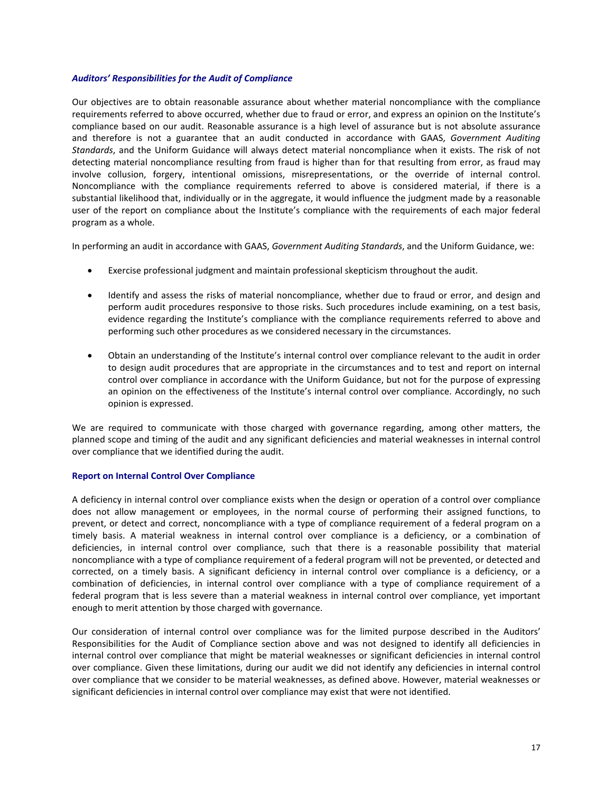#### *Auditors' Responsibilities for the Audit of Compliance*

Our objectives are to obtain reasonable assurance about whether material noncompliance with the compliance requirements referred to above occurred, whether due to fraud or error, and express an opinion on the Institute's compliance based on our audit. Reasonable assurance is a high level of assurance but is not absolute assurance and therefore is not a guarantee that an audit conducted in accordance with GAAS, *Government Auditing Standards*, and the Uniform Guidance will always detect material noncompliance when it exists. The risk of not detecting material noncompliance resulting from fraud is higher than for that resulting from error, as fraud may involve collusion, forgery, intentional omissions, misrepresentations, or the override of internal control. Noncompliance with the compliance requirements referred to above is considered material, if there is a substantial likelihood that, individually or in the aggregate, it would influence the judgment made by a reasonable user of the report on compliance about the Institute's compliance with the requirements of each major federal program as a whole.

In performing an audit in accordance with GAAS, *Government Auditing Standards*, and the Uniform Guidance, we:

- Exercise professional judgment and maintain professional skepticism throughout the audit.
- Identify and assess the risks of material noncompliance, whether due to fraud or error, and design and perform audit procedures responsive to those risks. Such procedures include examining, on a test basis, evidence regarding the Institute's compliance with the compliance requirements referred to above and performing such other procedures as we considered necessary in the circumstances.
- Obtain an understanding of the Institute's internal control over compliance relevant to the audit in order to design audit procedures that are appropriate in the circumstances and to test and report on internal control over compliance in accordance with the Uniform Guidance, but not for the purpose of expressing an opinion on the effectiveness of the Institute's internal control over compliance. Accordingly, no such opinion is expressed.

We are required to communicate with those charged with governance regarding, among other matters, the planned scope and timing of the audit and any significant deficiencies and material weaknesses in internal control over compliance that we identified during the audit.

#### **Report on Internal Control Over Compliance**

A deficiency in internal control over compliance exists when the design or operation of a control over compliance does not allow management or employees, in the normal course of performing their assigned functions, to prevent, or detect and correct, noncompliance with a type of compliance requirement of a federal program on a timely basis. A material weakness in internal control over compliance is a deficiency, or a combination of deficiencies, in internal control over compliance, such that there is a reasonable possibility that material noncompliance with a type of compliance requirement of a federal program will not be prevented, or detected and corrected, on a timely basis. A significant deficiency in internal control over compliance is a deficiency, or a combination of deficiencies, in internal control over compliance with a type of compliance requirement of a federal program that is less severe than a material weakness in internal control over compliance, yet important enough to merit attention by those charged with governance.

Our consideration of internal control over compliance was for the limited purpose described in the Auditors' Responsibilities for the Audit of Compliance section above and was not designed to identify all deficiencies in internal control over compliance that might be material weaknesses or significant deficiencies in internal control over compliance. Given these limitations, during our audit we did not identify any deficiencies in internal control over compliance that we consider to be material weaknesses, as defined above. However, material weaknesses or significant deficiencies in internal control over compliance may exist that were not identified.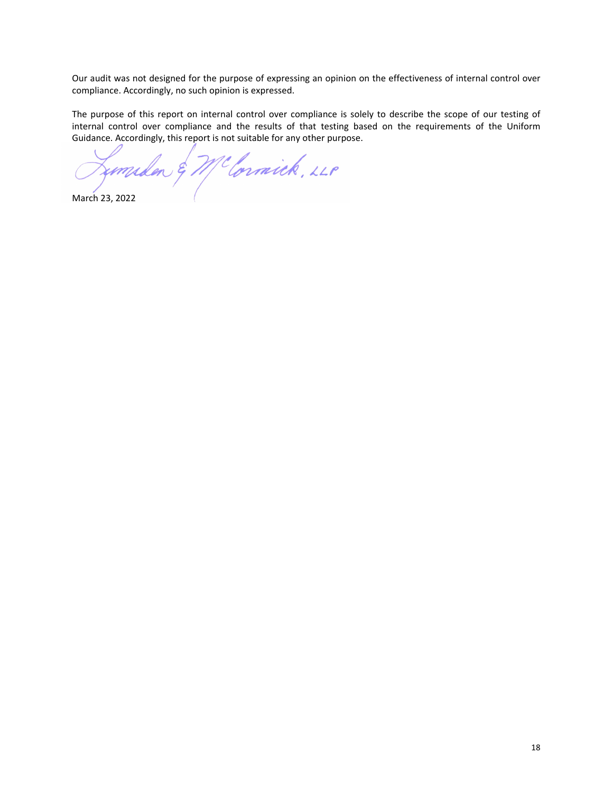Our audit was not designed for the purpose of expressing an opinion on the effectiveness of internal control over compliance. Accordingly, no such opinion is expressed.

The purpose of this report on internal control over compliance is solely to describe the scope of our testing of internal control over compliance and the results of that testing based on the requirements of the Uniform Guidance. Accordingly, this report is not suitable for any other purpose.

Jimulen & McCornick, 22.P